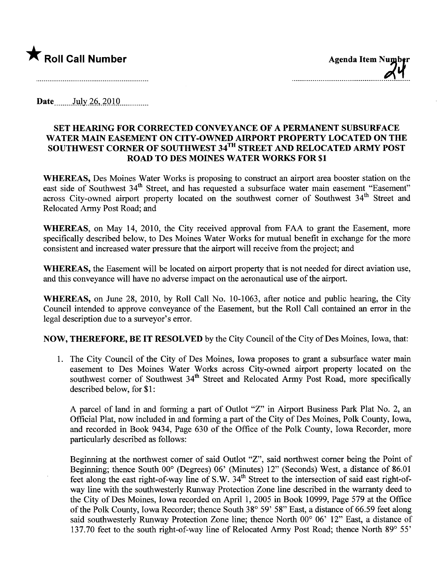

Date  $_{\text{July }26,2010}$ 

## SET HEARING FOR CORRECTED CONVEYANCE OF A PERMANENT SUBSURFACE WATER MAIN EASEMENT ON CITY-OWNED AIRPORT PROPERTY LOCATED ON THE SOUTHWEST CORNER OF SOUTHWEST 34TH STREET AND RELOCATED ARMY POST ROAD TO DES MOINES WATER WORKS FOR \$1

WHEREAS, Des Moines Water Works is proposing to construct an airport area booster station on the east side of Southwest 34<sup>th</sup> Street, and has requested a subsurface water main easement "Easement" across City-owned airport property located on the southwest corner of Southwest 34<sup>th</sup> Street and Relocated Army Post Road; and

WHEREAS, on May 14, 2010, the City received approval from FAA to grant the Easement, more specifically described below, to Des Moines Water Works for mutual benefit in exchange for the more consistent and increased water pressure that the airport wil receive from the project; and

WHEREAS, the Easement will be located on airport property that is not needed for direct aviation use, and this conveyance will have no adverse impact on the aeronautical use of the airport.

WHEREAS, on June 28, 2010, by Roll Call No. 10-1063, after notice and public hearing, the City Council intended to approve conveyance of the Easement, but the Roll Call contained an error in the legal description due to a surveyor's error.

NOW, THEREFORE, BE IT RESOLVED by the City Council of the City of Des Moines, Iowa, that:

1. The City Council of the City of Des Moines, Iowa proposes to grant a subsurface water main easement to Des Moines Water Works across City-owned airport property located on the southwest corner of Southwest 34<sup>th</sup> Street and Relocated Army Post Road, more specifically described below, for \$1 :

A parcel of land in and forming a part of Outlot "Z" in Airport Business Park Plat No. 2, an Official Plat, now included in and forming a par of the City of Des Moines, Polk County, Iowa, and recorded in Book 9434, Page 630 of the Office of the Polk County, Iowa Recorder, more particularly described as follows:

Beginning at the northwest corner of said Outlot "Z", said northwest corner being the Point of Beginning; thence South  $00^{\circ}$  (Degrees) 06' (Minutes) 12" (Seconds) West, a distance of 86.01 feet along the east right-of-way line of S.W.  $34<sup>th</sup>$  Street to the intersection of said east right-ofway line with the southwesterly Runway Protection Zone line described in the warranty deed to the City of Des Moines, Iowa recorded on April 1,2005 in Book 10999, Page 579 at the Office of the Polk County, Iowa Recorder; thence South 38° 59' 58" East, a distance of 66.59 feet along said southwesterly Runway Protection Zone line; thence North  $00^{\circ}$   $06'$   $12"$  East, a distance of 137.70 feet to the south right-of-way line of Relocated Army Post Road; thence North  $89^{\circ}$  55'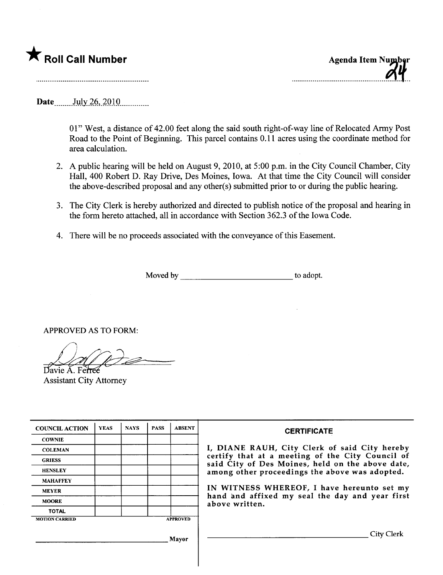

..............-......-.......-....-..---..-........1-.

Date .........July 26, 2010

01" West, a distance of 42.00 feet along the said south right-of-way line of Relocated Army Post Road to the Point of Beginning. This parcel contains 0.11 acres using the coordinate method for area calculation.

- 2. A public hearing will be held on August 9, 2010, at 5:00 p.m. in the City Council Chamber, City Hall, 400 Robert D. Ray Drive, Des Moines, Iowa. At that time the City Council wil consider the above-described proposal and any other(s) submitted prior to or during the public hearing.
- 3. The City Clerk is hereby authorized and directed to publish notice of the proposal and hearing in the form hereto attached, all in accordance with Section 362.3 of the Iowa Code.
- 4. There will be no proceeds associated with the conveyance of this Easement.

Moved by to adopt.

APPROVED AS TO FORM:

 $\mathcal{L}$   $\mathcal{L}$   $\mathcal{L}$   $\mathcal{L}$   $\mathcal{L}$   $\mathcal{L}$   $\mathcal{L}$   $\mathcal{L}$   $\mathcal{L}$   $\mathcal{L}$   $\mathcal{L}$   $\mathcal{L}$   $\mathcal{L}$   $\mathcal{L}$   $\mathcal{L}$   $\mathcal{L}$   $\mathcal{L}$   $\mathcal{L}$   $\mathcal{L}$   $\mathcal{L}$   $\mathcal{L}$   $\mathcal{L}$   $\mathcal{L}$   $\mathcal{L}$   $\mathcal{$ 

Assistant City Attorney

| <b>COUNCIL ACTION</b> | <b>YEAS</b> | <b>NAYS</b> | <b>PASS</b> | <b>ABSENT</b>   | <b>CERTIFICATE</b>                                                                                                                                                                                                                                                                                                         |
|-----------------------|-------------|-------------|-------------|-----------------|----------------------------------------------------------------------------------------------------------------------------------------------------------------------------------------------------------------------------------------------------------------------------------------------------------------------------|
| <b>COWNIE</b>         |             |             |             |                 | I, DIANE RAUH, City Clerk of said City hereby<br>certify that at a meeting of the City Council of<br>said City of Des Moines, held on the above date,<br>among other proceedings the above was adopted.<br>IN WITNESS WHEREOF, I have hereunto set my<br>hand and affixed my seal the day and year first<br>above written. |
| <b>COLEMAN</b>        |             |             |             |                 |                                                                                                                                                                                                                                                                                                                            |
| <b>GRIESS</b>         |             |             |             |                 |                                                                                                                                                                                                                                                                                                                            |
| <b>HENSLEY</b>        |             |             |             |                 |                                                                                                                                                                                                                                                                                                                            |
| <b>MAHAFFEY</b>       |             |             |             |                 |                                                                                                                                                                                                                                                                                                                            |
| <b>MEYER</b>          |             |             |             |                 |                                                                                                                                                                                                                                                                                                                            |
| <b>MOORE</b>          |             |             |             |                 |                                                                                                                                                                                                                                                                                                                            |
| <b>TOTAL</b>          |             |             |             |                 |                                                                                                                                                                                                                                                                                                                            |
| <b>MOTION CARRIED</b> |             |             |             | <b>APPROVED</b> |                                                                                                                                                                                                                                                                                                                            |
|                       |             |             |             | Mayor           | City Clerk                                                                                                                                                                                                                                                                                                                 |